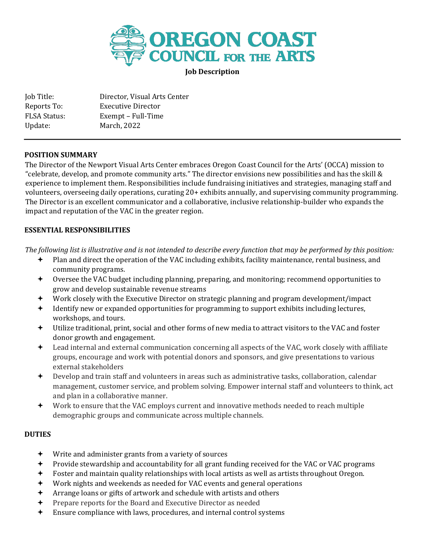

**Job Description**

| Job Title:          | Director, Visual Arts Center |
|---------------------|------------------------------|
| Reports To:         | Executive Director           |
| <b>FLSA Status:</b> | Exempt - Full-Time           |
| Update:             | March, 2022                  |

## **POSITION SUMMARY**

The Director of the Newport Visual Arts Center embraces Oregon Coast Council for the Arts' (OCCA) mission to "celebrate, develop, and promote community arts." The director envisions new possibilities and has the skill & experience to implement them. Responsibilities include fundraising initiatives and strategies, managing staff and volunteers, overseeing daily operations, curating 20+ exhibits annually, and supervising community programming. The Director is an excellent communicator and a collaborative, inclusive relationship-builder who expands the impact and reputation of the VAC in the greater region.

## **ESSENTIAL RESPONSIBILITIES**

*The following list is illustrative and is not intended to describe every function that may be performed by this position:*

- Plan and direct the operation of the VAC including exhibits, facility maintenance, rental business, and community programs.
- Oversee the VAC budget including planning, preparing, and monitoring; recommend opportunities to grow and develop sustainable revenue streams
- Work closely with the Executive Director on strategic planning and program development/impact
- Identify new or expanded opportunities for programming to support exhibits including lectures, workshops, and tours.
- Utilize traditional, print, social and other forms of new media to attract visitors to the VAC and foster donor growth and engagement.
- Lead internal and external communication concerning all aspects of the VAC, work closely with affiliate groups, encourage and work with potential donors and sponsors, and give presentations to various external stakeholders
- Develop and train staff and volunteers in areas such as administrative tasks, collaboration, calendar management, customer service, and problem solving. Empower internal staff and volunteers to think, act and plan in a collaborative manner.
- Work to ensure that the VAC employs current and innovative methods needed to reach multiple demographic groups and communicate across multiple channels.

# **DUTIES**

- Write and administer grants from a variety of sources
- Provide stewardship and accountability for all grant funding received for the VAC or VAC programs
- Foster and maintain quality relationships with local artists as well as artists throughout Oregon.
- Work nights and weekends as needed for VAC events and general operations
- Arrange loans or gifts of artwork and schedule with artists and others
- $\div$  Prepare reports for the Board and Executive Director as needed
- Ensure compliance with laws, procedures, and internal control systems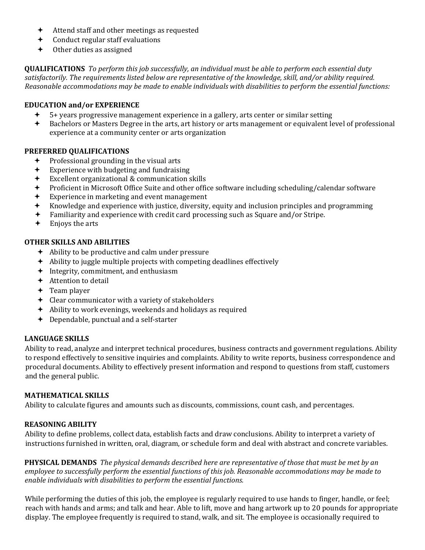- Attend staff and other meetings as requested
- Conduct regular staff evaluations
- Other duties as assigned

**QUALIFICATIONS** *To perform this job successfully, an individual must be able to perform each essential duty satisfactorily. The requirements listed below are representative of the knowledge, skill, and/or ability required. Reasonable accommodations may be made to enable individuals with disabilities to perform the essential functions:* 

# **EDUCATION and/or EXPERIENCE**

- 5+ years progressive management experience in a gallery, arts center or similar setting
- Bachelors or Masters Degree in the arts, art history or arts management or equivalent level of professional experience at a community center or arts organization

## **PREFERRED QUALIFICATIONS**

- Professional grounding in the visual arts
- Experience with budgeting and fundraising
- Excellent organizational & communication skills
- Proficient in Microsoft Office Suite and other office software including scheduling/calendar software
- Experience in marketing and event management
- Knowledge and experience with justice, diversity, equity and inclusion principles and programming
- Familiarity and experience with credit card processing such as Square and/or Stripe.
- Enjoys the arts

# **OTHER SKILLS AND ABILITIES**

- Ability to be productive and calm under pressure
- Ability to juggle multiple projects with competing deadlines effectively
- + Integrity, commitment, and enthusiasm
- $\div$  Attention to detail
- $+$  Team player
- $\div$  Clear communicator with a variety of stakeholders
- Ability to work evenings, weekends and holidays as required
- Dependable, punctual and a self-starter

### **LANGUAGE SKILLS**

Ability to read, analyze and interpret technical procedures, business contracts and government regulations. Ability to respond effectively to sensitive inquiries and complaints. Ability to write reports, business correspondence and procedural documents. Ability to effectively present information and respond to questions from staff, customers and the general public.

### **MATHEMATICAL SKILLS**

Ability to calculate figures and amounts such as discounts, commissions, count cash, and percentages.

# **REASONING ABILITY**

Ability to define problems, collect data, establish facts and draw conclusions. Ability to interpret a variety of instructions furnished in written, oral, diagram, or schedule form and deal with abstract and concrete variables.

**PHYSICAL DEMANDS** *The physical demands described here are representative of those that must be met by an employee to successfully perform the essential functions of this job. Reasonable accommodations may be made to enable individuals with disabilities to perform the essential functions.* 

While performing the duties of this job, the employee is regularly required to use hands to finger, handle, or feel; reach with hands and arms; and talk and hear. Able to lift, move and hang artwork up to 20 pounds for appropriate display. The employee frequently is required to stand, walk, and sit. The employee is occasionally required to